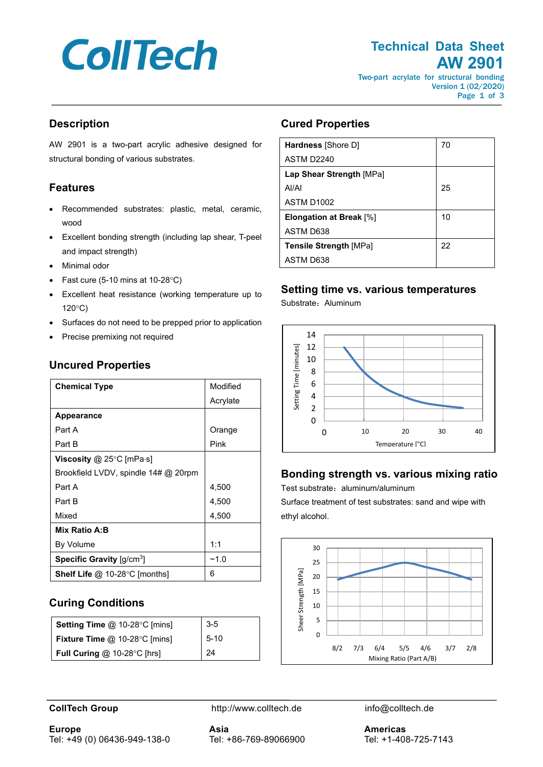# **CollTech**

# **Technical Data Sheet AW 2901**

Two-part acrylate for structural bonding Version 1 (02/2020) Page 1 of 3

## **Description**

AW 2901 is a two-part acrylic adhesive designed for structural bonding of various substrates.

# **Features**

- Recommended substrates: plastic, metal, ceramic, wood
- Excellent bonding strength (including lap shear, T-peel and impact strength)
- Minimal odor
- Fast cure (5-10 mins at 10-28 $^{\circ}$ C)
- Excellent heat resistance (working temperature up to 120°C)
- Surfaces do not need to be prepped prior to application
- Precise premixing not required

| <b>Chemical Type</b>                    | Modified |
|-----------------------------------------|----------|
|                                         | Acrylate |
| <b>Appearance</b>                       |          |
| Part A                                  | Orange   |
| Part B                                  | Pink     |
| <b>Viscosity</b> @ 25°C [mPa $\cdot$ s] |          |
| Brookfield LVDV, spindle 14# @ 20rpm    |          |
| Part A                                  | 4,500    |
| Part B                                  | 4,500    |
| Mixed                                   | 4,500    |
| Mix Ratio A:B                           |          |
| By Volume                               | 1:1      |
| Specific Gravity [g/cm <sup>3</sup> ]   | ~1.0     |
| <b>Shelf Life</b> @ 10-28°C [months]    | 6        |

# **Uncured Properties**

# **Curing Conditions**

| Setting Time @ 10-28°C [mins]                     | $3-5$    |
|---------------------------------------------------|----------|
| <b>Fixture Time <math>@</math> 10-28°C [mins]</b> | $5 - 10$ |
| <b>Full Curing <math>@</math> 10-28°C [hrs]</b>   | 24       |

# **Cured Properties**

| Hardness [Shore D]             | 70 |  |
|--------------------------------|----|--|
| ASTM D2240                     |    |  |
| Lap Shear Strength [MPa]       |    |  |
| Al/Al                          | 25 |  |
| ASTM D <sub>1002</sub>         |    |  |
| <b>Elongation at Break [%]</b> | 10 |  |
| ASTM D638                      |    |  |
| <b>Tensile Strength [MPa]</b>  | 22 |  |
| ASTM D638                      |    |  |

#### **Setting time vs. various temperatures**

Substrate:Aluminum



# **Bonding strength vs. various mixing ratio**

Test substrate: aluminum/aluminum

Surface treatment of test substrates: sand and wipe with ethyl alcohol.



**CollTech Group http://www.colltech.de** info@colltech.de

**Europe** Tel: +49 (0) 06436-949-138-0 **Asia** Tel: +86-769-89066900 **Americas** Tel: +1-408-725-7143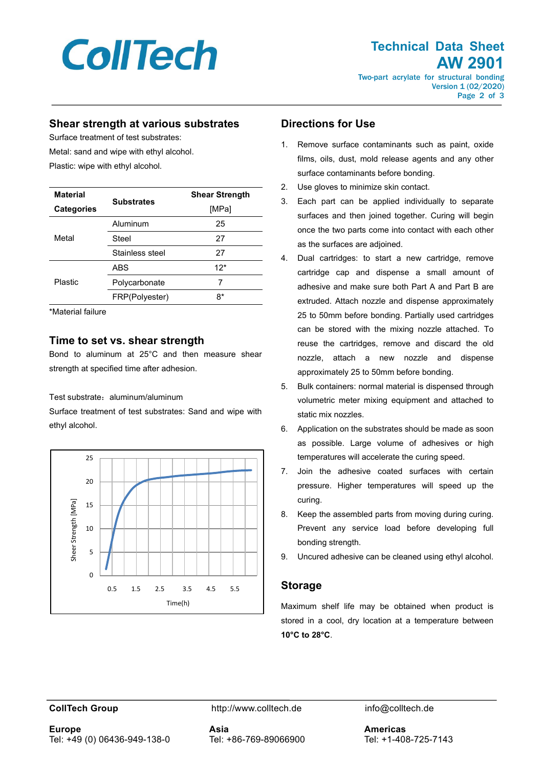

Page 2 of 3

#### **Shear strength at various substrates**

Surface treatment of test substrates: Metal: sand and wipe with ethyl alcohol.

Plastic: wipe with ethyl alcohol.

| <b>Material</b>   |                   | <b>Shear Strength</b> |
|-------------------|-------------------|-----------------------|
| <b>Categories</b> | <b>Substrates</b> | [MPa]                 |
| Metal             | Aluminum          | 25                    |
|                   | Steel             | 27                    |
|                   | Stainless steel   | 27                    |
| Plastic           | <b>ABS</b>        | $12*$                 |
|                   | Polycarbonate     |                       |
|                   | FRP(Polyester)    | 8*                    |

\*Material failure

#### **Time to set vs. shear strength**

Bond to aluminum at 25°C and then measure shear strength at specified time after adhesion.

#### Test substrate: aluminum/aluminum

Surface treatment of test substrates: Sand and wipe with ethyl alcohol.



#### **Directions for Use**

- 1. Remove surface contaminants such as paint, oxide films, oils, dust, mold release agents and any other surface contaminants before bonding.
- 2. Use gloves to minimize skin contact.
- 3. Each part can be applied individually to separate surfaces and then joined together. Curing will begin once the two parts come into contact with each other as the surfaces are adjoined.
- 4. Dual cartridges: to start a new cartridge, remove cartridge cap and dispense a small amount of adhesive and make sure both Part A and Part B are extruded. Attach nozzle and dispense approximately 25 to 50mm before bonding. Partially used cartridges can be stored with the mixing nozzle attached. To reuse the cartridges, remove and discard the old nozzle, attach a new nozzle and dispense approximately 25 to 50mm before bonding.
- 5. Bulk containers: normal material is dispensed through volumetric meter mixing equipment and attached to static mix nozzles.
- 6. Application on the substrates should be made as soon as possible. Large volume of adhesives or high temperatures will accelerate the curing speed.
- 7. Join the adhesive coated surfaces with certain pressure. Higher temperatures will speed up the curing.
- 8. Keep the assembled parts from moving during curing. Prevent any service load before developing full bonding strength.
- 9. Uncured adhesive can be cleaned using ethyl alcohol.

#### **Storage**

Maximum shelf life may be obtained when product is stored in a cool, dry location at a temperature between **10°C to 28°C**.

**Europe** Tel: +49 (0) 06436-949-138-0

**CollTech Group http://www.colltech.de** info@colltech.de

**Asia** Tel: +86-769-89066900

**Americas** Tel: +1-408-725-7143